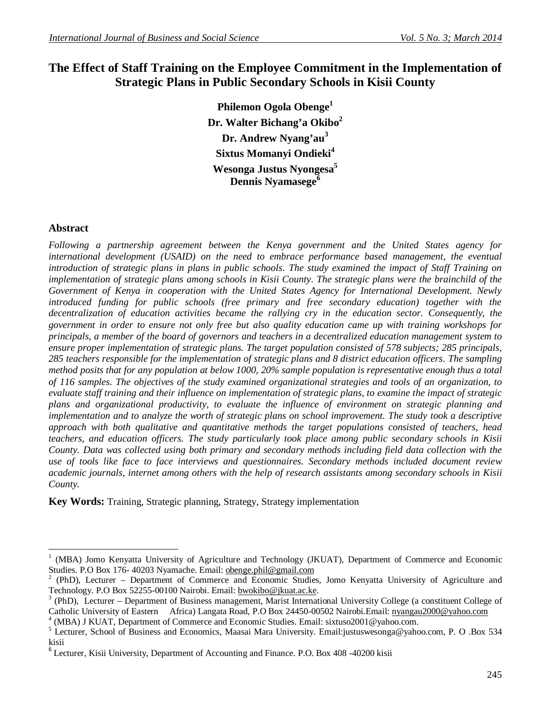# **The Effect of Staff Training on the Employee Commitment in the Implementation of Strategic Plans in Public Secondary Schools in Kisii County**

**Philemon Ogola Obenge<sup>1</sup> Dr. Walter Bichang'a Okibo<sup>2</sup> Dr. Andrew Nyang'au<sup>3</sup> Sixtus Momanyi Ondieki<sup>4</sup> Wesonga Justus Nyongesa<sup>5</sup> Dennis Nyamasege<sup>6</sup>**

## **Abstract**

 $\overline{a}$ 

*Following a partnership agreement between the Kenya government and the United States agency for international development (USAID) on the need to embrace performance based management, the eventual introduction of strategic plans in plans in public schools. The study examined the impact of Staff Training on implementation of strategic plans among schools in Kisii County. The strategic plans were the brainchild of the Government of Kenya in cooperation with the United States Agency for International Development. Newly introduced funding for public schools (free primary and free secondary education) together with the decentralization of education activities became the rallying cry in the education sector. Consequently, the government in order to ensure not only free but also quality education came up with training workshops for principals, a member of the board of governors and teachers in a decentralized education management system to ensure proper implementation of strategic plans. The target population consisted of 578 subjects; 285 principals, 285 teachers responsible for the implementation of strategic plans and 8 district education officers. The sampling method posits that for any population at below 1000, 20% sample population is representative enough thus a total of 116 samples. The objectives of the study examined organizational strategies and tools of an organization, to evaluate staff training and their influence on implementation of strategic plans, to examine the impact of strategic plans and organizational productivity, to evaluate the influence of environment on strategic planning and implementation and to analyze the worth of strategic plans on school improvement. The study took a descriptive approach with both qualitative and quantitative methods the target populations consisted of teachers, head teachers, and education officers. The study particularly took place among public secondary schools in Kisii County. Data was collected using both primary and secondary methods including field data collection with the use of tools like face to face interviews and questionnaires. Secondary methods included document review academic journals, internet among others with the help of research assistants among secondary schools in Kisii County.* 

**Key Words:** Training, Strategic planning, Strategy, Strategy implementation

<sup>1</sup> (MBA) Jomo Kenyatta University of Agriculture and Technology (JKUAT), Department of Commerce and Economic Studies. P.O Box 176- 40203 Nyamache. Email: obenge.phil@gmail.com

<sup>2</sup> (PhD), Lecturer – Department of Commerce and Economic Studies, Jomo Kenyatta University of Agriculture and Technology. P.O Box 52255-00100 Nairobi. Email: bwokibo@jkuat.ac.ke.

<sup>3</sup> (PhD), Lecturer – Department of Business management, Marist International University College (a constituent College of Catholic University of Eastern Africa) Langata Road, P.O Box 24450-00502 Nairobi.Email: nyangau2000@yahoo.com

<sup>4</sup> (MBA) J KUAT, Department of Commerce and Economic Studies. Email: sixtuso2001@yahoo.com.

<sup>5</sup> Lecturer, School of Business and Economics, Maasai Mara University. Email:justuswesonga@yahoo.com, P. O .Box 534 kisii

<sup>&</sup>lt;sup>6</sup> Lecturer, Kisii University, Department of Accounting and Finance. P.O. Box 408 -40200 kisii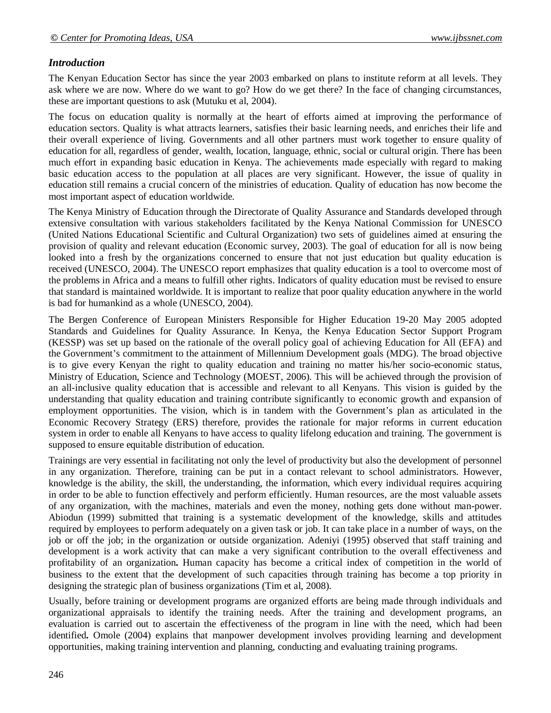# *Introduction*

The Kenyan Education Sector has since the year 2003 embarked on plans to institute reform at all levels. They ask where we are now. Where do we want to go? How do we get there? In the face of changing circumstances, these are important questions to ask (Mutuku et al, 2004).

The focus on education quality is normally at the heart of efforts aimed at improving the performance of education sectors. Quality is what attracts learners, satisfies their basic learning needs, and enriches their life and their overall experience of living. Governments and all other partners must work together to ensure quality of education for all, regardless of gender, wealth, location, language, ethnic, social or cultural origin. There has been much effort in expanding basic education in Kenya. The achievements made especially with regard to making basic education access to the population at all places are very significant. However, the issue of quality in education still remains a crucial concern of the ministries of education. Quality of education has now become the most important aspect of education worldwide.

The Kenya Ministry of Education through the Directorate of Quality Assurance and Standards developed through extensive consultation with various stakeholders facilitated by the Kenya National Commission for UNESCO (United Nations Educational Scientific and Cultural Organization) two sets of guidelines aimed at ensuring the provision of quality and relevant education (Economic survey, 2003). The goal of education for all is now being looked into a fresh by the organizations concerned to ensure that not just education but quality education is received (UNESCO, 2004). The UNESCO report emphasizes that quality education is a tool to overcome most of the problems in Africa and a means to fulfill other rights. Indicators of quality education must be revised to ensure that standard is maintained worldwide. It is important to realize that poor quality education anywhere in the world is bad for humankind as a whole (UNESCO, 2004).

The Bergen Conference of European Ministers Responsible for Higher Education 19-20 May 2005 adopted Standards and Guidelines for Quality Assurance. In Kenya, the Kenya Education Sector Support Program (KESSP) was set up based on the rationale of the overall policy goal of achieving Education for All (EFA) and the Government's commitment to the attainment of Millennium Development goals (MDG). The broad objective is to give every Kenyan the right to quality education and training no matter his/her socio-economic status, Ministry of Education, Science and Technology (MOEST, 2006). This will be achieved through the provision of an all-inclusive quality education that is accessible and relevant to all Kenyans. This vision is guided by the understanding that quality education and training contribute significantly to economic growth and expansion of employment opportunities. The vision, which is in tandem with the Government's plan as articulated in the Economic Recovery Strategy (ERS) therefore, provides the rationale for major reforms in current education system in order to enable all Kenyans to have access to quality lifelong education and training. The government is supposed to ensure equitable distribution of education.

Trainings are very essential in facilitating not only the level of productivity but also the development of personnel in any organization. Therefore, training can be put in a contact relevant to school administrators. However, knowledge is the ability, the skill, the understanding, the information, which every individual requires acquiring in order to be able to function effectively and perform efficiently. Human resources, are the most valuable assets of any organization, with the machines, materials and even the money, nothing gets done without man-power. Abiodun (1999) submitted that training is a systematic development of the knowledge, skills and attitudes required by employees to perform adequately on a given task or job. It can take place in a number of ways, on the job or off the job; in the organization or outside organization. Adeniyi (1995) observed that staff training and development is a work activity that can make a very significant contribution to the overall effectiveness and profitability of an organization**.** Human capacity has become a critical index of competition in the world of business to the extent that the development of such capacities through training has become a top priority in designing the strategic plan of business organizations (Tim et al, 2008).

Usually, before training or development programs are organized efforts are being made through individuals and organizational appraisals to identify the training needs. After the training and development programs, an evaluation is carried out to ascertain the effectiveness of the program in line with the need, which had been identified**.** Omole (2004) explains that manpower development involves providing learning and development opportunities, making training intervention and planning, conducting and evaluating training programs.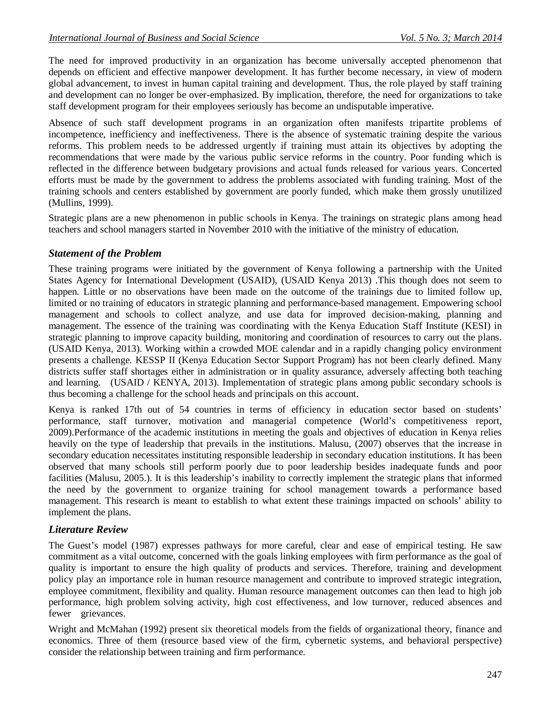The need for improved productivity in an organization has become universally accepted phenomenon that depends on efficient and effective manpower development. It has further become necessary, in view of modern global advancement, to invest in human capital training and development. Thus, the role played by staff training and development can no longer be over-emphasized. By implication, therefore, the need for organizations to take staff development program for their employees seriously has become an undisputable imperative.

Absence of such staff development programs in an organization often manifests tripartite problems of incompetence, inefficiency and ineffectiveness. There is the absence of systematic training despite the various reforms. This problem needs to be addressed urgently if training must attain its objectives by adopting the recommendations that were made by the various public service reforms in the country. Poor funding which is reflected in the difference between budgetary provisions and actual funds released for various years. Concerted efforts must be made by the government to address the problems associated with funding training. Most of the training schools and centers established by government are poorly funded, which make them grossly unutilized (Mullins, 1999).

Strategic plans are a new phenomenon in public schools in Kenya. The trainings on strategic plans among head teachers and school managers started in November 2010 with the initiative of the ministry of education.

### *Statement of the Problem*

These training programs were initiated by the government of Kenya following a partnership with the United States Agency for International Development (USAID), (USAID Kenya 2013) .This though does not seem to happen. Little or no observations have been made on the outcome of the trainings due to limited follow up, limited or no training of educators in strategic planning and performance-based management. Empowering school management and schools to collect analyze, and use data for improved decision-making, planning and management. The essence of the training was coordinating with the Kenya Education Staff Institute (KESI) in strategic planning to improve capacity building, monitoring and coordination of resources to carry out the plans. (USAID Kenya, 2013). Working within a crowded MOE calendar and in a rapidly changing policy environment presents a challenge. KESSP II (Kenya Education Sector Support Program) has not been clearly defined. Many districts suffer staff shortages either in administration or in quality assurance, adversely affecting both teaching and learning. (USAID / KENYA, 2013). Implementation of strategic plans among public secondary schools is thus becoming a challenge for the school heads and principals on this account.

Kenya is ranked 17th out of 54 countries in terms of efficiency in education sector based on students' performance, staff turnover, motivation and managerial competence (World's competitiveness report, 2009).Performance of the academic institutions in meeting the goals and objectives of education in Kenya relies heavily on the type of leadership that prevails in the institutions. Malusu, (2007) observes that the increase in secondary education necessitates instituting responsible leadership in secondary education institutions. It has been observed that many schools still perform poorly due to poor leadership besides inadequate funds and poor facilities (Malusu, 2005.). It is this leadership's inability to correctly implement the strategic plans that informed the need by the government to organize training for school management towards a performance based management. This research is meant to establish to what extent these trainings impacted on schools' ability to implement the plans.

## *Literature Review*

The Guest's model (1987) expresses pathways for more careful, clear and ease of empirical testing. He saw commitment as a vital outcome, concerned with the goals linking employees with firm performance as the goal of quality is important to ensure the high quality of products and services. Therefore, training and development policy play an importance role in human resource management and contribute to improved strategic integration, employee commitment, flexibility and quality. Human resource management outcomes can then lead to high job performance, high problem solving activity, high cost effectiveness, and low turnover, reduced absences and fewer grievances.

Wright and McMahan (1992) present six theoretical models from the fields of organizational theory, finance and economics. Three of them (resource based view of the firm, cybernetic systems, and behavioral perspective) consider the relationship between training and firm performance.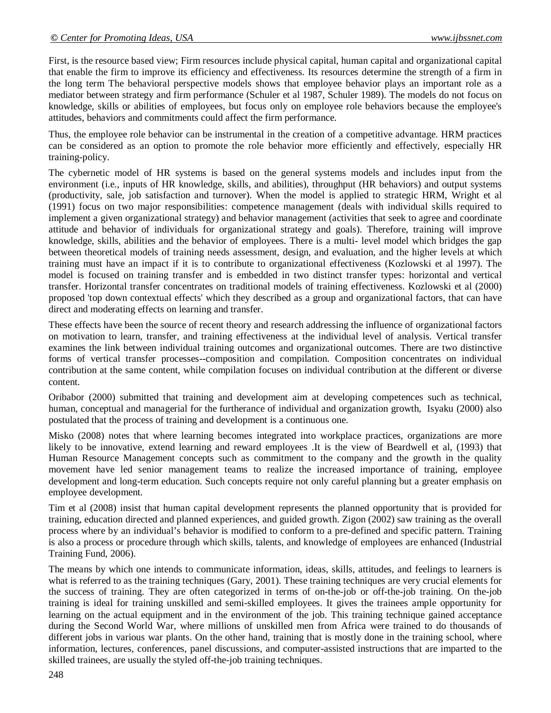First, is the resource based view; Firm resources include physical capital, human capital and organizational capital that enable the firm to improve its efficiency and effectiveness. Its resources determine the strength of a firm in the long term The behavioral perspective models shows that employee behavior plays an important role as a mediator between strategy and firm performance (Schuler et al 1987, Schuler 1989). The models do not focus on knowledge, skills or abilities of employees, but focus only on employee role behaviors because the employee's attitudes, behaviors and commitments could affect the firm performance.

Thus, the employee role behavior can be instrumental in the creation of a competitive advantage. HRM practices can be considered as an option to promote the role behavior more efficiently and effectively, especially HR training-policy.

The cybernetic model of HR systems is based on the general systems models and includes input from the environment (i.e., inputs of HR knowledge, skills, and abilities), throughput (HR behaviors) and output systems (productivity, sale, job satisfaction and turnover). When the model is applied to strategic HRM, Wright et al (1991) focus on two major responsibilities: competence management (deals with individual skills required to implement a given organizational strategy) and behavior management (activities that seek to agree and coordinate attitude and behavior of individuals for organizational strategy and goals). Therefore, training will improve knowledge, skills, abilities and the behavior of employees. There is a multi- level model which bridges the gap between theoretical models of training needs assessment, design, and evaluation, and the higher levels at which training must have an impact if it is to contribute to organizational effectiveness (Kozlowski et al 1997). The model is focused on training transfer and is embedded in two distinct transfer types: horizontal and vertical transfer. Horizontal transfer concentrates on traditional models of training effectiveness. Kozlowski et al (2000) proposed 'top down contextual effects' which they described as a group and organizational factors, that can have direct and moderating effects on learning and transfer.

These effects have been the source of recent theory and research addressing the influence of organizational factors on motivation to learn, transfer, and training effectiveness at the individual level of analysis. Vertical transfer examines the link between individual training outcomes and organizational outcomes. There are two distinctive forms of vertical transfer processes--composition and compilation. Composition concentrates on individual contribution at the same content, while compilation focuses on individual contribution at the different or diverse content.

Oribabor (2000) submitted that training and development aim at developing competences such as technical, human, conceptual and managerial for the furtherance of individual and organization growth, Isyaku (2000) also postulated that the process of training and development is a continuous one.

Misko (2008) notes that where learning becomes integrated into workplace practices, organizations are more likely to be innovative, extend learning and reward employees .It is the view of Beardwell et al, (1993) that Human Resource Management concepts such as commitment to the company and the growth in the quality movement have led senior management teams to realize the increased importance of training, employee development and long-term education. Such concepts require not only careful planning but a greater emphasis on employee development.

Tim et al (2008) insist that human capital development represents the planned opportunity that is provided for training, education directed and planned experiences, and guided growth. Zigon (2002) saw training as the overall process where by an individual's behavior is modified to conform to a pre-defined and specific pattern. Training is also a process or procedure through which skills, talents, and knowledge of employees are enhanced (Industrial Training Fund, 2006).

The means by which one intends to communicate information, ideas, skills, attitudes, and feelings to learners is what is referred to as the training techniques (Gary, 2001). These training techniques are very crucial elements for the success of training. They are often categorized in terms of on-the-job or off-the-job training. On the-job training is ideal for training unskilled and semi-skilled employees. It gives the trainees ample opportunity for learning on the actual equipment and in the environment of the job. This training technique gained acceptance during the Second World War, where millions of unskilled men from Africa were trained to do thousands of different jobs in various war plants. On the other hand, training that is mostly done in the training school, where information, lectures, conferences, panel discussions, and computer-assisted instructions that are imparted to the skilled trainees, are usually the styled off-the-job training techniques.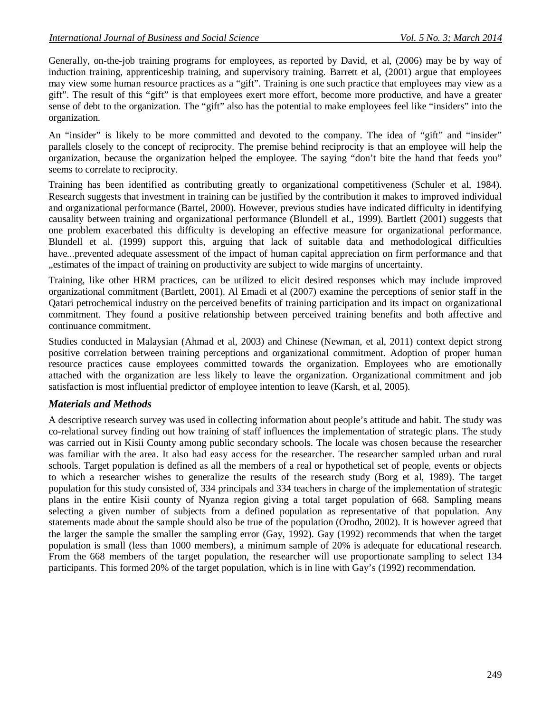Generally, on-the-job training programs for employees, as reported by David, et al, (2006) may be by way of induction training, apprenticeship training, and supervisory training. Barrett et al, (2001) argue that employees may view some human resource practices as a "gift". Training is one such practice that employees may view as a gift". The result of this "gift" is that employees exert more effort, become more productive, and have a greater sense of debt to the organization. The "gift" also has the potential to make employees feel like "insiders" into the organization.

An "insider" is likely to be more committed and devoted to the company. The idea of "gift" and "insider" parallels closely to the concept of reciprocity. The premise behind reciprocity is that an employee will help the organization, because the organization helped the employee. The saying "don't bite the hand that feeds you" seems to correlate to reciprocity.

Training has been identified as contributing greatly to organizational competitiveness (Schuler et al, 1984). Research suggests that investment in training can be justified by the contribution it makes to improved individual and organizational performance (Bartel, 2000). However, previous studies have indicated difficulty in identifying causality between training and organizational performance (Blundell et al., 1999). Bartlett (2001) suggests that one problem exacerbated this difficulty is developing an effective measure for organizational performance. Blundell et al. (1999) support this, arguing that lack of suitable data and methodological difficulties have...prevented adequate assessment of the impact of human capital appreciation on firm performance and that "estimates of the impact of training on productivity are subject to wide margins of uncertainty.

Training, like other HRM practices, can be utilized to elicit desired responses which may include improved organizational commitment (Bartlett, 2001). Al Emadi et al (2007) examine the perceptions of senior staff in the Qatari petrochemical industry on the perceived benefits of training participation and its impact on organizational commitment. They found a positive relationship between perceived training benefits and both affective and continuance commitment.

Studies conducted in Malaysian (Ahmad et al, 2003) and Chinese (Newman, et al, 2011) context depict strong positive correlation between training perceptions and organizational commitment. Adoption of proper human resource practices cause employees committed towards the organization. Employees who are emotionally attached with the organization are less likely to leave the organization. Organizational commitment and job satisfaction is most influential predictor of employee intention to leave (Karsh, et al, 2005).

## *Materials and Methods*

A descriptive research survey was used in collecting information about people's attitude and habit. The study was co-relational survey finding out how training of staff influences the implementation of strategic plans. The study was carried out in Kisii County among public secondary schools. The locale was chosen because the researcher was familiar with the area. It also had easy access for the researcher. The researcher sampled urban and rural schools. Target population is defined as all the members of a real or hypothetical set of people, events or objects to which a researcher wishes to generalize the results of the research study (Borg et al, 1989). The target population for this study consisted of, 334 principals and 334 teachers in charge of the implementation of strategic plans in the entire Kisii county of Nyanza region giving a total target population of 668. Sampling means selecting a given number of subjects from a defined population as representative of that population. Any statements made about the sample should also be true of the population (Orodho, 2002). It is however agreed that the larger the sample the smaller the sampling error (Gay, 1992). Gay (1992) recommends that when the target population is small (less than 1000 members), a minimum sample of 20% is adequate for educational research. From the 668 members of the target population, the researcher will use proportionate sampling to select 134 participants. This formed 20% of the target population, which is in line with Gay's (1992) recommendation.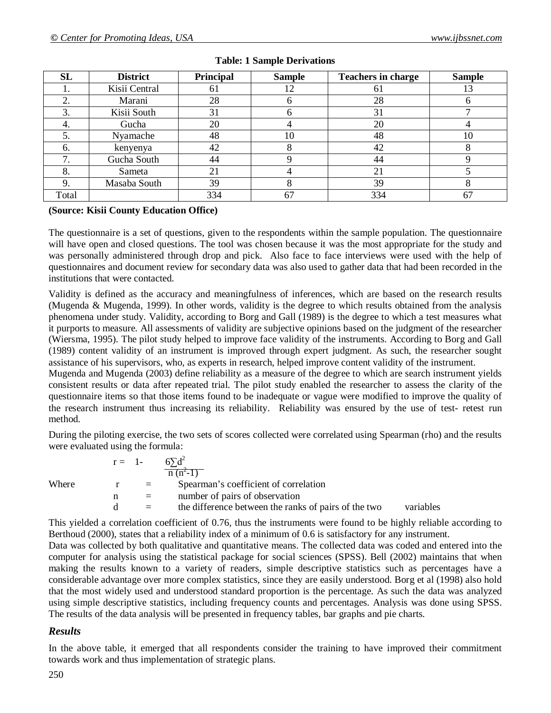| <b>SL</b> | <b>District</b> | Principal | <b>Sample</b> | <b>Teachers in charge</b> | <b>Sample</b> |
|-----------|-----------------|-----------|---------------|---------------------------|---------------|
|           | Kisii Central   | 61        | 12            | 61                        | 13            |
|           | Marani          | 28        |               | 28                        |               |
| 3.        | Kisii South     | 31        |               | 31                        |               |
| 4.        | Gucha           | 20        |               | 20                        |               |
|           | Nyamache        | 48        | 10            | 48                        | 10            |
| 6.        | kenyenya        | 42        |               | 42                        |               |
|           | Gucha South     | 44        |               | 44                        |               |
|           | Sameta          | 21        |               | 21                        |               |
|           | Masaba South    | 39        |               | 39                        |               |
| Total     |                 | 334       | 67            | 334                       | 67            |

### **Table: 1 Sample Derivations**

#### **(Source: Kisii County Education Office)**

The questionnaire is a set of questions, given to the respondents within the sample population. The questionnaire will have open and closed questions. The tool was chosen because it was the most appropriate for the study and was personally administered through drop and pick. Also face to face interviews were used with the help of questionnaires and document review for secondary data was also used to gather data that had been recorded in the institutions that were contacted.

Validity is defined as the accuracy and meaningfulness of inferences, which are based on the research results (Mugenda & Mugenda, 1999). In other words, validity is the degree to which results obtained from the analysis phenomena under study. Validity, according to Borg and Gall (1989) is the degree to which a test measures what it purports to measure. All assessments of validity are subjective opinions based on the judgment of the researcher (Wiersma, 1995). The pilot study helped to improve face validity of the instruments. According to Borg and Gall (1989) content validity of an instrument is improved through expert judgment. As such, the researcher sought assistance of his supervisors, who, as experts in research, helped improve content validity of the instrument.

Mugenda and Mugenda (2003) define reliability as a measure of the degree to which are search instrument yields consistent results or data after repeated trial. The pilot study enabled the researcher to assess the clarity of the questionnaire items so that those items found to be inadequate or vague were modified to improve the quality of the research instrument thus increasing its reliability. Reliability was ensured by the use of test- retest run method.

During the piloting exercise, the two sets of scores collected were correlated using Spearman (rho) and the results were evaluated using the formula:

|       | $r = 1$ - |     | $n(n^2-1)$                                           |           |  |
|-------|-----------|-----|------------------------------------------------------|-----------|--|
| Where |           | $=$ | Spearman's coefficient of correlation                |           |  |
|       |           | $=$ | number of pairs of observation                       |           |  |
|       |           | $=$ | the difference between the ranks of pairs of the two | variables |  |
|       |           |     |                                                      |           |  |

This yielded a correlation coefficient of 0.76, thus the instruments were found to be highly reliable according to Berthoud (2000), states that a reliability index of a minimum of 0.6 is satisfactory for any instrument.

Data was collected by both qualitative and quantitative means. The collected data was coded and entered into the computer for analysis using the statistical package for social sciences (SPSS). Bell (2002) maintains that when making the results known to a variety of readers, simple descriptive statistics such as percentages have a considerable advantage over more complex statistics, since they are easily understood. Borg et al (1998) also hold that the most widely used and understood standard proportion is the percentage. As such the data was analyzed using simple descriptive statistics, including frequency counts and percentages. Analysis was done using SPSS. The results of the data analysis will be presented in frequency tables, bar graphs and pie charts.

#### *Results*

In the above table, it emerged that all respondents consider the training to have improved their commitment towards work and thus implementation of strategic plans.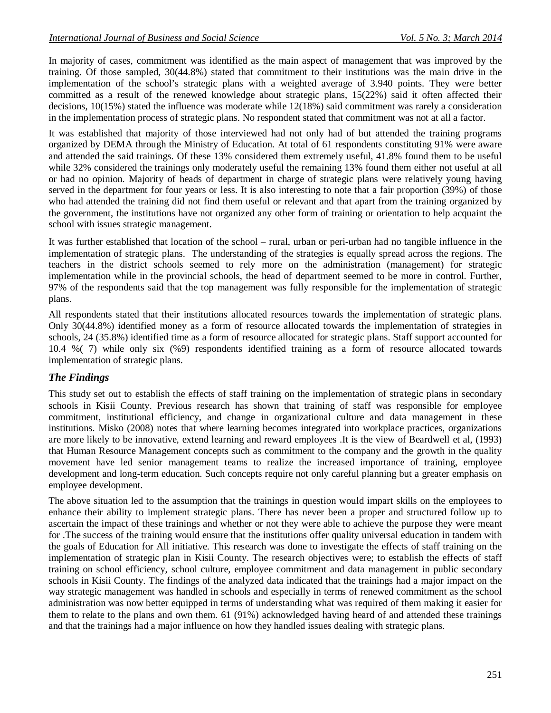In majority of cases, commitment was identified as the main aspect of management that was improved by the training. Of those sampled, 30(44.8%) stated that commitment to their institutions was the main drive in the implementation of the school's strategic plans with a weighted average of 3.940 points. They were better committed as a result of the renewed knowledge about strategic plans, 15(22%) said it often affected their decisions, 10(15%) stated the influence was moderate while 12(18%) said commitment was rarely a consideration in the implementation process of strategic plans. No respondent stated that commitment was not at all a factor.

It was established that majority of those interviewed had not only had of but attended the training programs organized by DEMA through the Ministry of Education. At total of 61 respondents constituting 91% were aware and attended the said trainings. Of these 13% considered them extremely useful, 41.8% found them to be useful while 32% considered the trainings only moderately useful the remaining 13% found them either not useful at all or had no opinion. Majority of heads of department in charge of strategic plans were relatively young having served in the department for four years or less. It is also interesting to note that a fair proportion (39%) of those who had attended the training did not find them useful or relevant and that apart from the training organized by the government, the institutions have not organized any other form of training or orientation to help acquaint the school with issues strategic management.

It was further established that location of the school – rural, urban or peri-urban had no tangible influence in the implementation of strategic plans. The understanding of the strategies is equally spread across the regions. The teachers in the district schools seemed to rely more on the administration (management) for strategic implementation while in the provincial schools, the head of department seemed to be more in control. Further, 97% of the respondents said that the top management was fully responsible for the implementation of strategic plans.

All respondents stated that their institutions allocated resources towards the implementation of strategic plans. Only 30(44.8%) identified money as a form of resource allocated towards the implementation of strategies in schools, 24 (35.8%) identified time as a form of resource allocated for strategic plans. Staff support accounted for 10.4 %( 7) while only six (%9) respondents identified training as a form of resource allocated towards implementation of strategic plans.

# *The Findings*

This study set out to establish the effects of staff training on the implementation of strategic plans in secondary schools in Kisii County. Previous research has shown that training of staff was responsible for employee commitment, institutional efficiency, and change in organizational culture and data management in these institutions. Misko (2008) notes that where learning becomes integrated into workplace practices, organizations are more likely to be innovative, extend learning and reward employees .It is the view of Beardwell et al, (1993) that Human Resource Management concepts such as commitment to the company and the growth in the quality movement have led senior management teams to realize the increased importance of training, employee development and long-term education. Such concepts require not only careful planning but a greater emphasis on employee development.

The above situation led to the assumption that the trainings in question would impart skills on the employees to enhance their ability to implement strategic plans. There has never been a proper and structured follow up to ascertain the impact of these trainings and whether or not they were able to achieve the purpose they were meant for .The success of the training would ensure that the institutions offer quality universal education in tandem with the goals of Education for All initiative. This research was done to investigate the effects of staff training on the implementation of strategic plan in Kisii County. The research objectives were; to establish the effects of staff training on school efficiency, school culture, employee commitment and data management in public secondary schools in Kisii County. The findings of the analyzed data indicated that the trainings had a major impact on the way strategic management was handled in schools and especially in terms of renewed commitment as the school administration was now better equipped in terms of understanding what was required of them making it easier for them to relate to the plans and own them. 61 (91%) acknowledged having heard of and attended these trainings and that the trainings had a major influence on how they handled issues dealing with strategic plans.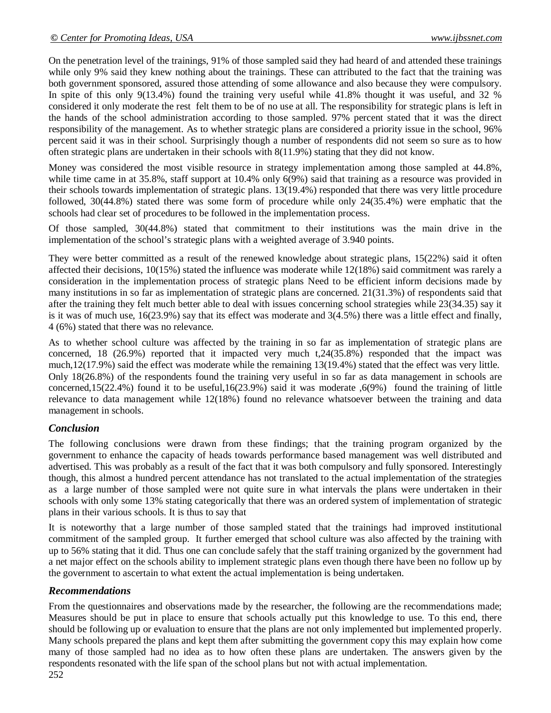On the penetration level of the trainings, 91% of those sampled said they had heard of and attended these trainings while only 9% said they knew nothing about the trainings. These can attributed to the fact that the training was both government sponsored, assured those attending of some allowance and also because they were compulsory. In spite of this only 9(13.4%) found the training very useful while 41.8% thought it was useful, and 32 % considered it only moderate the rest felt them to be of no use at all. The responsibility for strategic plans is left in the hands of the school administration according to those sampled. 97% percent stated that it was the direct responsibility of the management. As to whether strategic plans are considered a priority issue in the school, 96% percent said it was in their school. Surprisingly though a number of respondents did not seem so sure as to how often strategic plans are undertaken in their schools with 8(11.9%) stating that they did not know.

Money was considered the most visible resource in strategy implementation among those sampled at 44.8%, while time came in at 35.8%, staff support at 10.4% only 6(9%) said that training as a resource was provided in their schools towards implementation of strategic plans. 13(19.4%) responded that there was very little procedure followed, 30(44.8%) stated there was some form of procedure while only 24(35.4%) were emphatic that the schools had clear set of procedures to be followed in the implementation process.

Of those sampled, 30(44.8%) stated that commitment to their institutions was the main drive in the implementation of the school's strategic plans with a weighted average of 3.940 points.

They were better committed as a result of the renewed knowledge about strategic plans, 15(22%) said it often affected their decisions, 10(15%) stated the influence was moderate while 12(18%) said commitment was rarely a consideration in the implementation process of strategic plans Need to be efficient inform decisions made by many institutions in so far as implementation of strategic plans are concerned. 21(31.3%) of respondents said that after the training they felt much better able to deal with issues concerning school strategies while 23(34.35) say it is it was of much use, 16(23.9%) say that its effect was moderate and 3(4.5%) there was a little effect and finally, 4 (6%) stated that there was no relevance.

As to whether school culture was affected by the training in so far as implementation of strategic plans are concerned, 18 (26.9%) reported that it impacted very much t,24(35.8%) responded that the impact was much,12(17.9%) said the effect was moderate while the remaining 13(19.4%) stated that the effect was very little. Only 18(26.8%) of the respondents found the training very useful in so far as data management in schools are concerned,15(22.4%) found it to be useful,16(23.9%) said it was moderate ,6(9%) found the training of little relevance to data management while 12(18%) found no relevance whatsoever between the training and data management in schools.

# *Conclusion*

The following conclusions were drawn from these findings; that the training program organized by the government to enhance the capacity of heads towards performance based management was well distributed and advertised. This was probably as a result of the fact that it was both compulsory and fully sponsored. Interestingly though, this almost a hundred percent attendance has not translated to the actual implementation of the strategies as a large number of those sampled were not quite sure in what intervals the plans were undertaken in their schools with only some 13% stating categorically that there was an ordered system of implementation of strategic plans in their various schools. It is thus to say that

It is noteworthy that a large number of those sampled stated that the trainings had improved institutional commitment of the sampled group. It further emerged that school culture was also affected by the training with up to 56% stating that it did. Thus one can conclude safely that the staff training organized by the government had a net major effect on the schools ability to implement strategic plans even though there have been no follow up by the government to ascertain to what extent the actual implementation is being undertaken.

# *Recommendations*

From the questionnaires and observations made by the researcher, the following are the recommendations made; Measures should be put in place to ensure that schools actually put this knowledge to use. To this end, there should be following up or evaluation to ensure that the plans are not only implemented but implemented properly. Many schools prepared the plans and kept them after submitting the government copy this may explain how come many of those sampled had no idea as to how often these plans are undertaken. The answers given by the respondents resonated with the life span of the school plans but not with actual implementation.